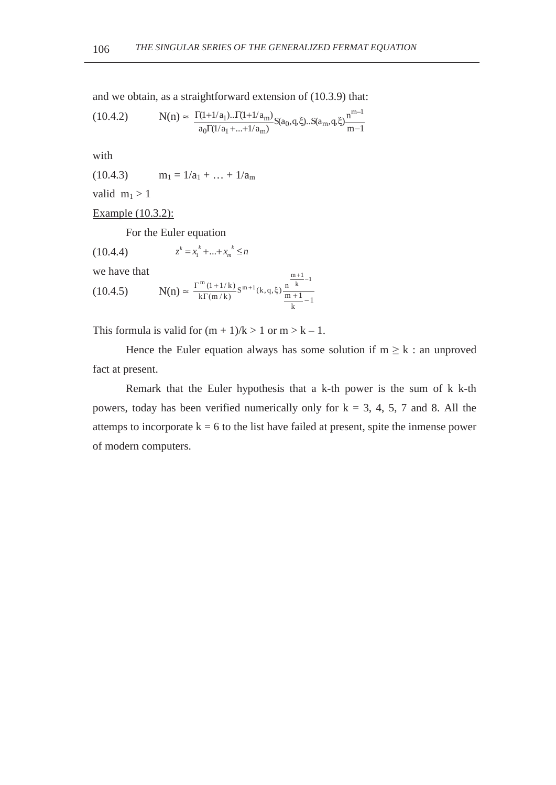and we obtain, as a straightforward extension of (10.3.9) that:

$$
(10.4.2) \tN(n) \approx \frac{\Gamma(1+1/a_1) \dots \Gamma(1+1/a_m)}{a_0 \Gamma(1/a_1 + \dots + 1/a_m)} S(a_0, q, \xi) \dots S(a_m, q, \xi) \frac{n^{m-1}}{m-1}
$$

with

 $(10.4.3)$   $m_1 = 1/a_1 + ... + 1/a_m$ 

valid  $m_1 > 1$ 

Example (10.3.2):

For the Euler equation

 $z^k = x_1^k + ... + x_m^k \le n$ (10.4.4)

we have that

we have that  
\n
$$
(10.4.5) \tN(n) \approx \frac{\Gamma^{m}(1+1/k)}{k\Gamma(m/k)} s^{m+1}(k,q,\xi) \frac{\frac{m+1}{k}-1}{\frac{m+1}{k}-1}
$$

This formula is valid for  $(m + 1)/k > 1$  or  $m > k - 1$ .

Hence the Euler equation always has some solution if  $m \geq k$  : an unproved fact at present.

Remark that the Euler hypothesis that a k-th power is the sum of k k-th powers, today has been verified numerically only for  $k = 3, 4, 5, 7$  and 8. All the attemps to incorporate  $k = 6$  to the list have failed at present, spite the inmense power of modern computers.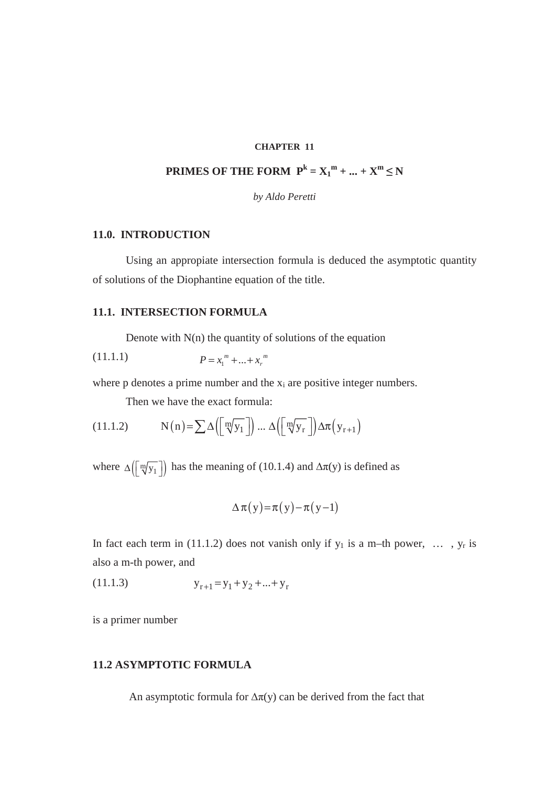#### **CHAPTER 11**

# **PRIMES OF THE FORM**  $P^k = X_1^m + ... + X^m \le N$

*by Aldo Peretti* 

## **11.0. INTRODUCTION**

Using an appropiate intersection formula is deduced the asymptotic quantity of solutions of the Diophantine equation of the title.

# **11.1. INTERSECTION FORMULA**

Denote with  $N(n)$  the quantity of solutions of the equation

$$
(11.1.1) \t\t P = x_1^m + ... + x_r^m
$$

where  $p$  denotes a prime number and the  $x_i$  are positive integer numbers.

Then we have the exact formula:

(11.1.2) 
$$
N(n) = \sum \Delta \left( \left[ \sqrt[m]{y_1} \right] \right) \dots \Delta \left( \left[ \sqrt[m]{y_r} \right] \right) \Delta \pi \left( y_{r+1} \right)
$$

where  $\Delta(\lceil \sqrt[m]{y_1} \rceil)$  has the meaning of (10.1.4) and  $\Delta \pi(y)$  is defined as

$$
\Delta \pi(y) = \pi(y) - \pi(y-1)
$$

In fact each term in (11.1.2) does not vanish only if  $y_1$  is a m–th power, ...,  $y_r$  is also a m-th power, and

$$
(11.1.3) \t\t\t yr+1 = y1 + y2 + ... + yr
$$

is a primer number

# **11.2 ASYMPTOTIC FORMULA**

An asymptotic formula for  $\Delta \pi(y)$  can be derived from the fact that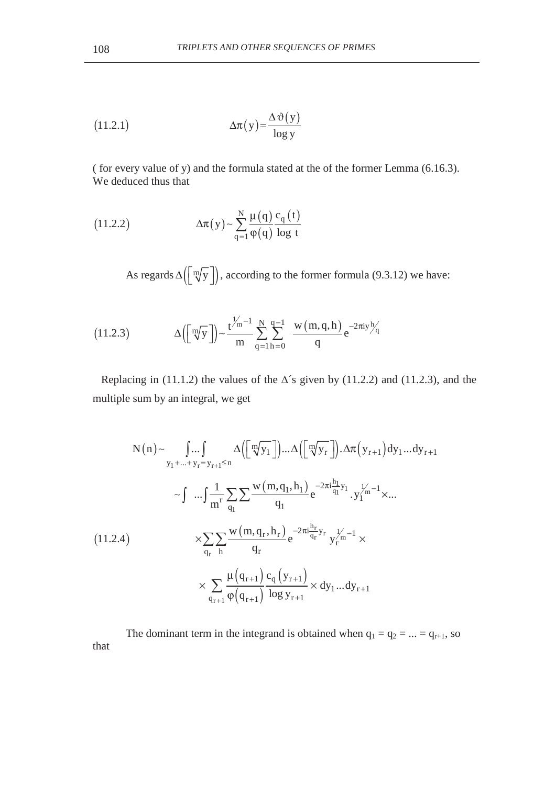(11.2.1) 
$$
\Delta \pi(y) = \frac{\Delta \vartheta(y)}{\log y}
$$

( for every value of y) and the formula stated at the of the former Lemma (6.16.3). We deduced thus that

(11.2.2) 
$$
\Delta \pi(y) \sim \sum_{q=1}^{N} \frac{\mu(q)}{\varphi(q)} \frac{c_q(t)}{\log t}
$$

As regards  $\Delta \left( \left[ \sqrt[m]{y} \right] \right)$ , according to the former formula (9.3.12) we have:

(11.2.3) 
$$
\Delta([\![\mathbf{w}]\!]) - \frac{t^{\frac{1}{2}m-1}}{m} \sum_{q=1}^{N} \sum_{h=0}^{q-1} \frac{w(m,q,h)}{q} e^{-2\pi i y \frac{h}{q}}
$$

Replacing in (11.1.2) the values of the  $\Delta$ 's given by (11.2.2) and (11.2.3), and the multiple sum by an integral, we get

$$
N(n) \sim \int_{y_1 + ... + y_r = y_{r+1} \le n} \Delta \Big( \Big[ \sqrt[m]{y_1} \Big] \Big) ... \Delta \Big( \Big[ \sqrt[m]{y_r} \Big] \Big) . \Delta \pi \Big( y_{r+1} \Big) dy_1 ... dy_{r+1}
$$
  

$$
\sim \int_{\mathfrak{m}} \Big[ \frac{1}{m^r} \sum_{q_1} \sum \frac{w(m, q_1, h_1)}{q_1} e^{-2\pi i \frac{h_1}{q_1} y_1} . y_1^{1/2} ...
$$
  

$$
\times \sum_{q_r} \sum_{h} \frac{w(m, q_r, h_r)}{q_r} e^{-2\pi i \frac{h_r}{q_r} y_r} y_r^{1/2} - 1 \times \sum_{q_{r+1}} \sum_{q_r} \frac{\mu(q_{r+1}) \cdot c_q \Big( y_{r+1} \Big)}{q_r} \times dy_1 ... dy_{r+1}
$$

The dominant term in the integrand is obtained when  $q_1 = q_2 = ... = q_{r+1}$ , so that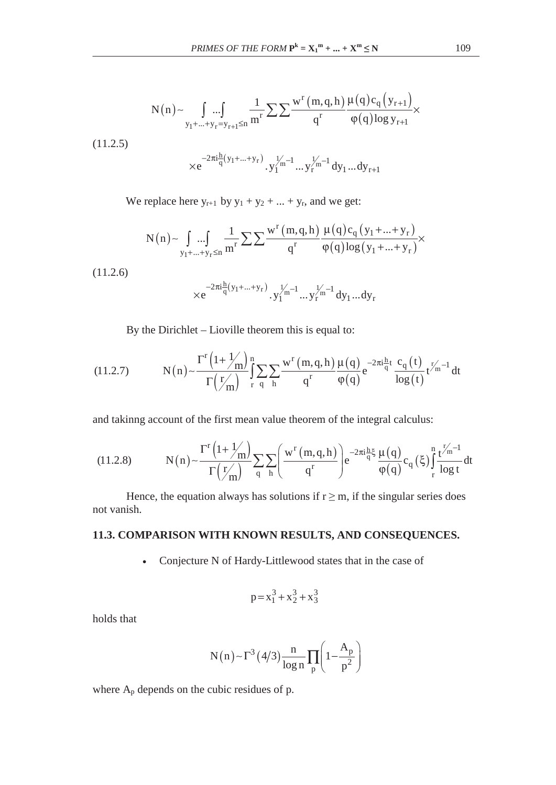$$
N(n) \sim \int_{y_1 + \dots + y_r = y_{r+1} \le n} \frac{1}{m^r} \sum \sum \frac{w^r (m, q, h)}{q^r} \frac{\mu(q) c_q (y_{r+1})}{\phi(q) \log y_{r+1}} \times
$$
  

$$
\times e^{-2\pi i \frac{h}{q} (y_1 + \dots + y_r)} \cdot y_1^{1/n-1} \dots y_r^{1/n-1} dy_1 \dots dy_{r+1}
$$

We replace here  $y_{r+1}$  by  $y_1 + y_2 + ... + y_r$ , and we get:

$$
N(n) \hspace{-0.5ex}\sim\hspace{-0.5ex} \int\limits_{y_1 + ... + y_r \leq n} \hspace{-0.5ex} \frac{1}{m^r} \hspace{-0.5ex} \sum \frac{w^r(m,q,h)}{q^r} \frac{\mu(q) c_q\left(y_1\hspace{-0.5ex}+\! ... \hspace{-0.5ex}+\! y_r\right)}{\phi(q) \log\hspace{-0.5ex} \left(y_1\hspace{-0.5ex}+\! ... \hspace{-0.5ex}+\! y_r\right)} \hspace{-0.5ex}\times
$$

(11.2.6)

$$
\times e^{-2\pi i \frac{h}{q}(y_1 + \dots + y_r)} \cdot y_1^{1/2} \dots y_r^{1/2} \cdot dy_1 \dots dy_r
$$

By the Dirichlet – Lioville theorem this is equal to:

(11.2.7) 
$$
N(n) \sim \frac{\Gamma^{r} (1 + 1/m)}{\Gamma(\frac{r}{m})} \int_{r}^{n} \sum_{q} \sum_{h} \frac{w^{r} (m, q, h)}{q^{r}} \frac{\mu(q)}{\phi(q)} e^{-2\pi i \frac{h}{q} t} \frac{c_{q}(t)}{\log(t)} t^{\frac{r}{m}-1} dt
$$

and takinng account of the first mean value theorem of the integral calculus:

(11.2.8) 
$$
N(n) \sim \frac{\Gamma^{r} (1 + 1/m)}{\Gamma(\frac{r}{m})} \sum_{q} \sum_{h} \left( \frac{w^{r} (m, q, h)}{q^{r}} \right) e^{-2\pi i \frac{h}{q} \xi} \frac{\mu(q)}{\phi(q)} c_{q}(\xi) \int_{r}^{n} \frac{t^{r}_{m}^{r-1}}{\log t} dt
$$

Hence, the equation always has solutions if  $r \ge m$ , if the singular series does not vanish.

# **11.3. COMPARISON WITH KNOWN RESULTS, AND CONSEQUENCES.**

• Conjecture N of Hardy-Littlewood states that in the case of

$$
p = x_1^3 + x_2^3 + x_3^3
$$

holds that

$$
N(n) \sim \Gamma^3 (4/3) \frac{n}{\log n} \prod_p \left(1 - \frac{A_p}{p^2}\right)
$$

where  $A_p$  depends on the cubic residues of p.